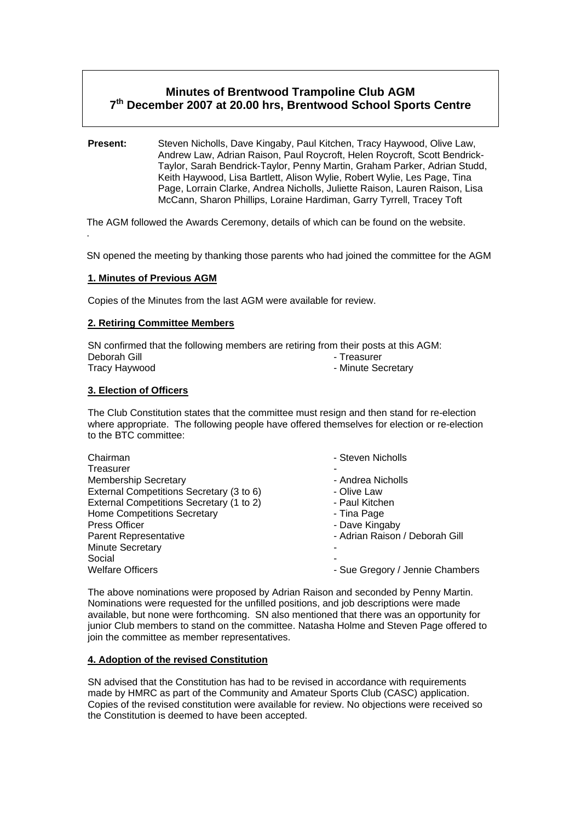# **Minutes of Brentwood Trampoline Club AGM 7th December 2007 at 20.00 hrs, Brentwood School Sports Centre**

**Present:** Steven Nicholls, Dave Kingaby, Paul Kitchen, Tracy Haywood, Olive Law, Andrew Law, Adrian Raison, Paul Roycroft, Helen Roycroft, Scott Bendrick-Taylor, Sarah Bendrick-Taylor, Penny Martin, Graham Parker, Adrian Studd, Keith Haywood, Lisa Bartlett, Alison Wylie, Robert Wylie, Les Page, Tina Page, Lorrain Clarke, Andrea Nicholls, Juliette Raison, Lauren Raison, Lisa McCann, Sharon Phillips, Loraine Hardiman, Garry Tyrrell, Tracey Toft

The AGM followed the Awards Ceremony, details of which can be found on the website. .

SN opened the meeting by thanking those parents who had joined the committee for the AGM

## **1. Minutes of Previous AGM**

Copies of the Minutes from the last AGM were available for review.

## **2. Retiring Committee Members**

SN confirmed that the following members are retiring from their posts at this AGM: Deborah Gill **Deborah Gill Contract Contract Contract Contract Contract Contract Contract Contract Contract Contract Contract Contract Contract Contract Contract Contract Contract Contract Contract Contract Contract Contra** - Minute Secretary

### **3. Election of Officers**

The Club Constitution states that the committee must resign and then stand for re-election where appropriate. The following people have offered themselves for election or re-election to the BTC committee:

| - Steven Nicholls               |
|---------------------------------|
|                                 |
| - Andrea Nicholls               |
| - Olive Law                     |
| - Paul Kitchen                  |
| - Tina Page                     |
| - Dave Kingaby                  |
| - Adrian Raison / Deborah Gill  |
|                                 |
|                                 |
| - Sue Gregory / Jennie Chambers |
|                                 |

The above nominations were proposed by Adrian Raison and seconded by Penny Martin. Nominations were requested for the unfilled positions, and job descriptions were made available, but none were forthcoming. SN also mentioned that there was an opportunity for junior Club members to stand on the committee. Natasha Holme and Steven Page offered to join the committee as member representatives.

#### **4. Adoption of the revised Constitution**

SN advised that the Constitution has had to be revised in accordance with requirements made by HMRC as part of the Community and Amateur Sports Club (CASC) application. Copies of the revised constitution were available for review. No objections were received so the Constitution is deemed to have been accepted.